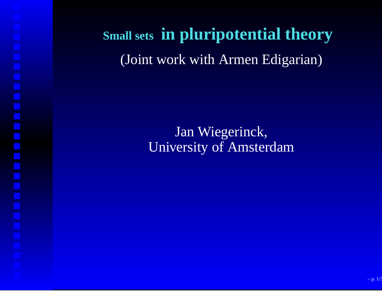# **Small sets in pluripotential theory**<br>(Joint work with Armen Edigarian)<br>Jan Wiegerinck,<br>University of Amsterdam work with Armen Edigarian)

Jan Wiegerinck, Uni versity of Amsterdam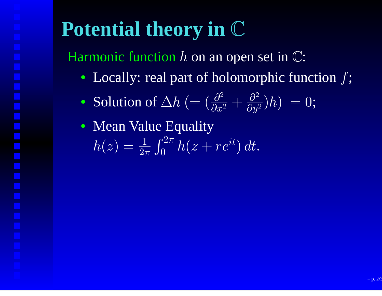# **Potential theory in**

Harmonic function  $h$  on an open set in  $\mathbb C\text{:}$ 

- Locally: real part of holomorphic function  $f$ ;
- Locally: real part of holomorphic function  $f$ ;<br>Solution of  $\Delta h$  (=  $(\frac{\partial^2}{\partial x^2} + \frac{\partial^2}{\partial y^2})h$ ) = 0; Solution of  $\Delta h$  (=  $(\frac{\partial^2}{\partial x^2})$ <br>Mean Value Equality  $x^2$  $\begin{array}{l} \epsilon_1 + \frac{\partial^2}{\partial y^2})h) \ = 0 \ \epsilon_2^{it} \hskip 2pt dt. \end{array}$ ;<br>,
- Mean Value Equality
	- Mean Value Equality<br> $h(z) = \frac{1}{2\pi} \int_0^{2\pi} h(z +$  $(z) = \frac{1}{2\pi} \int_0^{2\pi} h(z + re^{it}) dt$ .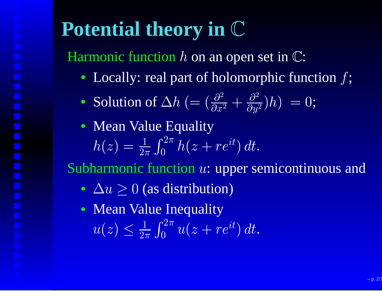# **Potential theory in**

Harmonic function  $h$  on an open set in  $\mathbb C\text{:}$ 

- Locally: real part of holomorphic function  $f$ ;
- Locally: real part of holomorphic function  $f$ ;<br>Solution of  $\Delta h$  (=  $(\frac{\partial^2}{\partial x^2} + \frac{\partial^2}{\partial y^2})h$ ) = 0; Solution of  $\Delta h$  (=  $(\frac{\partial^2}{\partial x^2})$ <br>Mean Value Equality  $\begin{array}{l} \epsilon_1 + \frac{\partial^2}{\partial y^2})h) \ = 0 \ \epsilon_2^{it} \hskip 2pt dt. \end{array}$ ;<br>,
- $x^2$ • Mean Value Equality Mean Value Equality<br> $h(z) = \frac{1}{2\pi} \int_0^{2\pi} h(z +$  $(z) = \frac{1}{2\pi} \int_0^{2\pi} h(z + re^{it}) dt$ <br>urmonic function *u*: upper s<br> $\Delta u \ge 0$  (as distribution) .

Subharmonic function  $u\colon$  upper semicontinuous and

- $\Delta u \geq 0$  (as distribution)
- Mean Value Inequality

Mean Value Inequality<br> $u(z) \leq \frac{1}{2\pi} \int_0^{2\pi} u(z+r)$  $\sim 1 \epsilon^{2n}$  $\overline{a}$  $\eta$  $\cdots$ ,  $i\mathbf{t}$   $\cdots$ .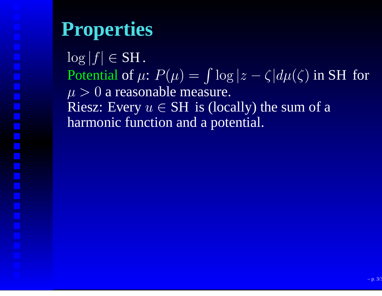### **Properties**

 $\log|f| \in \mathcal{SH}.$ Potential of  $\mu$ :  $P(\mu) = \int \log |z - \zeta| d\mu(\zeta)$  in SH for  $\mu > 0$  a reasonable measure. Riesz: Every  $u \in SH$  is (locally) the sum of a harmonic function and a potential.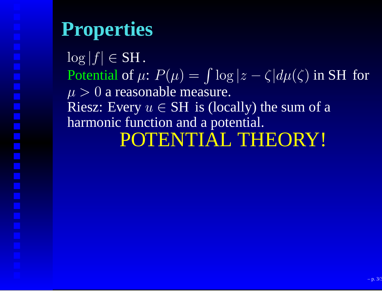### **Properties**

 $\log|f| \in SH$ . Potential of  $\mu$ :  $P(\mu) = \int \log |z - \zeta| d\mu(\zeta)$  in SH for  $\mu > 0$  a reasonable measure. Riesz: Every  $u \in SH$  is (locally) the sum of a harmonic function and a potential. POTENTIAL THEORY!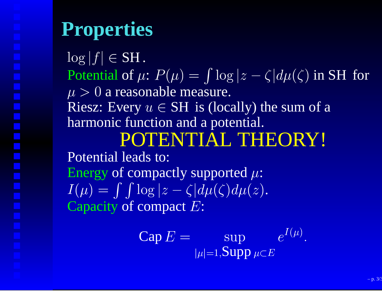### **Properties**

 $\log|f| \in \mathcal{SH}.$ Potential of  $\mu$ :  $P(\mu) = \int \log |z - \zeta| d\mu(\zeta)$  in SH for  $\mu > 0$  a reasonable measure. Riesz: Every  $u \in SH$  is (locally) the sum of a harmonic function and a potential. POTENTIAL THEORY! Potential leads to: Energy of compactly supported  $\mu$ :  $I(\mu) = \int \int \log |z - \zeta| d\mu(\zeta) d\mu(z).$ Capacity of compact  $E$ :

$$
\text{Cap } E = \sup_{|\mu|=1, \text{Supp }\mu \subset E} e^{I(\mu)}.
$$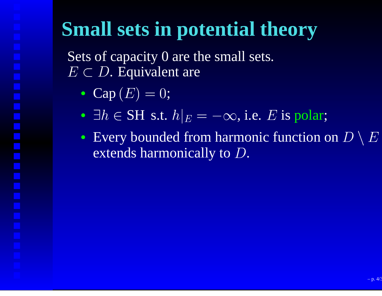# **Small sets in potential theory**

Sets of capacity 0 are the small sets.  $\Box$   $D.$  Equivalent are

- $C_{\alpha n} (E)$  0 ;<br>,
- Cap ( $\exists h \in$  $\exists h \in \text{SH} \text{ s.t. } h|_E = -\infty$ , i.e. E is polar;
- Every bounded from harmonic function on  $D \setminus$  extends harmonically to  $D$ . extends harmonically to  $D.$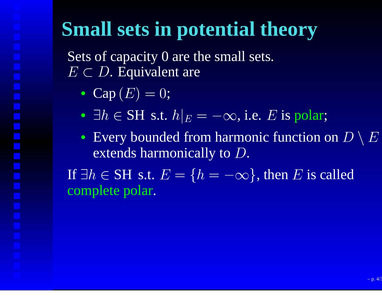# **Small sets in potential theory**

Sets of capacity 0 are the small sets.  $\Box$   $D.$  Equivalent are

- $C_{\alpha n} (E)$  0 ;<br>,
- Cap ( $\exists h \in$  $\exists h \in \text{SH} \text{ s.t. } h|_E = -\infty$ , i.e. E is polar;
- Every bounded from harmonic function on  $D \setminus$ <br>extends harmonically to  $D$ .<br> $\begin{bmatrix} 1 & -\mathbf{C} \mathbf{U} & \mathbf{S} + \mathbf{E} & -\mathbf{I} \mathbf{b} & -\mathbf{I} \end{bmatrix}$  and then  $F$  is called extends harmonically to  $D.$

If  $\exists h \in \text{SH}$  s.t.  $E = \{h = -\infty\}$ , then E is called complete polar.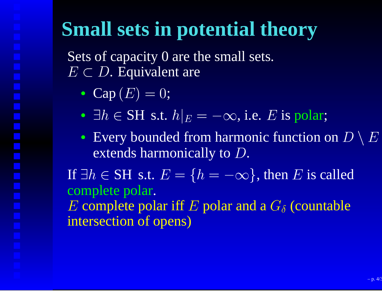# **Small sets in potential theory**

Sets of capacity 0 are the small sets.  $\Box$   $D.$  Equivalent are

- $C_{\alpha n} (E)$  0 ;<br>,
- Cap ( $\exists h \in$  $\exists h \in \text{SH} \text{ s.t. } h|_E = -\infty$ , i.e. E is polar;
- Every bounded from harmonic function on  $D \setminus$ <br>extends harmonically to  $D$ .<br> $\begin{bmatrix} 1 & -\mathbf{C} \mathbf{U} & \mathbf{S} + \mathbf{E} & -\mathbf{I} \mathbf{b} & -\mathbf{I} \end{bmatrix}$  and then  $F$  is called extends harmonically to  $D.$

If  $\exists h \in \text{SH}$  s.t.  $E = \{h = -\infty\}$ , then E is called complete polar. E complete polar iff E polar and a  $G_{\delta}$  (countable intersection of opens)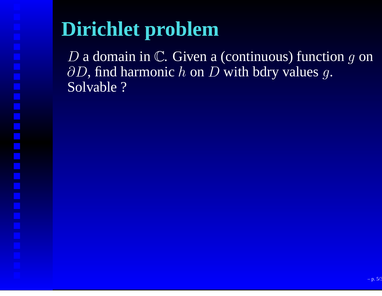# **Dirichlet problem**

a domain in  $\mathbb C$ . Given a (continuous) function  $g$  on D, find harmonic  $h$  on  $D$  with bdry values  $g$ . Solvable ?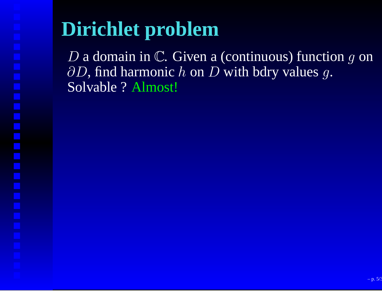# **Dirichlet problem**

a domain in  $\mathbb C$ . Given a (continuous) function  $g$  on D, find harmonic  $h$  on  $D$  with bdry values  $g$ . Solvable ? Almost!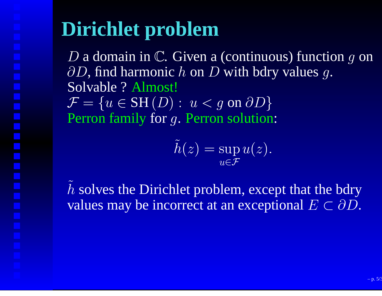# **Dirichlet problem**

a domain in  $\mathbb C$ . Given a (continuous) function  $g$  on D, find harmonic  $h$  on  $D$  with bdry values  $g$ . Solvable ? Almost!  $\{u \in SH(D): u \leq$ on  $\partial D$ Perron family for  $g.$  Perron solution:

$$
\tilde{h}(z) = \sup_{u \in \mathcal{F}} u(z).
$$

solves the Dirichlet problem, excep<sup>t</sup> that the bdry values may be incorrect at an exceptional  $E\subset \partial D.$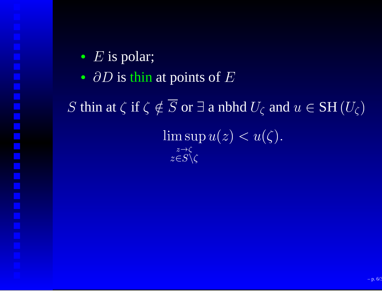- $\bullet$  E is polar;
- $\partial D$  is thin at points of E

S thin at  $\zeta$  if  $\zeta \notin \overline{S}$  or  $\exists$  a nbhd  $U_{\zeta}$  and  $u \in SH(U_{\zeta})$ 

 $\limsup u(z) < u(\zeta).$  $z \to z \to z$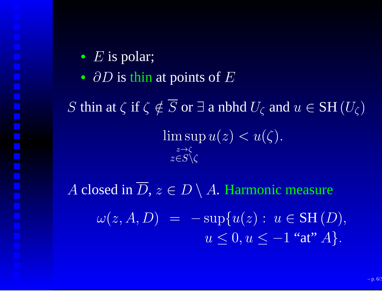•  $E$  is polar;

•  $\partial D$  is thin at points of E

S thin at  $\zeta$  if  $\zeta \notin \overline{S}$  or  $\exists$  a nbhd  $U_{\zeta}$  and  $u \in \overline{SH}(U_{\zeta})$  $\limsup u(z) < u(\zeta)$ .  $z \to \zeta$ <br> $z \in S \setminus \zeta$ 

A closed in  $\overline{D}$ ,  $z \in D \setminus A$ . Harmonic measure  $\omega(z, A, D) = -\sup\{u(z) : u \in \mathcal{SH}(D),\}$  $u \leq 0, u \leq -1$  "at"  $A$ .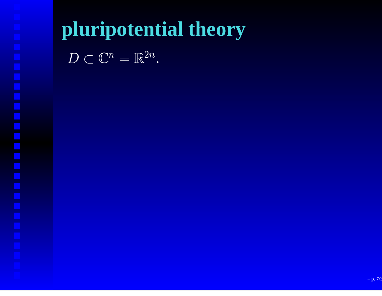# **pluripotential theory**

 $\gamma$ .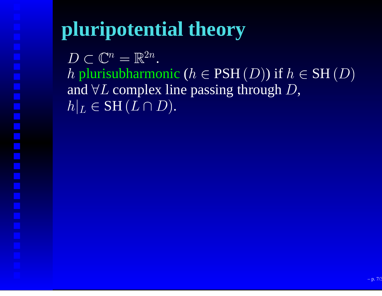# **pluripotential theory**

 $\gamma$  $I_L \in SH$ and  $\forall L$  cor plurisubharmonic<br>nd  $\forall L$  complex lin  $(h\in \mathrm{PSH}$  $(D)$ ) if  $h \in \mathbf{SH}$ - L complex line passing through  $D$ ,  $\tau = \tau$ .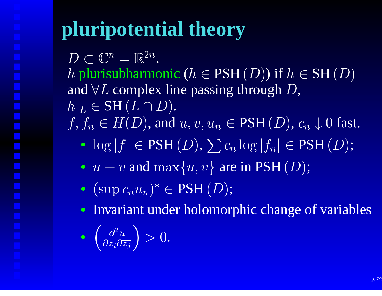# **pluripotential theory**

 $\gamma$ 

 $\sim$   $\sim$   $\sim$ 

 $I_L \in SH$ and  $\forall L$  cor plurisubharmonic<br>nd  $\forall L$  complex lin  $(h\in \mathrm{PSH}$  $(D)$ ) if  $h \in \mathbf{SH}$ - L complex line passing through  $D$ ,  $\tau = \tau$ .  $H(D)$ , and  $u, v, u_n \in \text{PSH}$ **- And the contract of the contract of the contract of the contract of the contract of the contract of the contract of the contract of the contract of the contract of the contract of the contract of the contract of the con** ,  $\,c_n\,$ fast.

- 12  $|f| \in \mathrm{PSH}$ - ,  $\sum C_n$ - $\vert \in$  PSH - ;<br>,
- $\omega$  or  $\omega$  and  $\omega$  is the  $\omega$  of  $\omega$  and  $\omega$  is the  $\omega$  is the  $\omega$   $u + v$  and - $\langle \gamma \rangle$ are in PSH **- And the second contract of the second contract of the second contract of the second** ;<br>,
- ------ $* \in PSH$ - ;<br>,
- wariani umber holomoronic change of variab Invariant under holomorphic change of variables<br>  $\left(\frac{\partial^2 u}{\partial z_i \partial \overline{z_i}}\right) > 0.$

$$
\bullet\ \left(\tfrac{\partial^2 u}{\partial z_i \partial \overline{z_j}}\right) > 0.
$$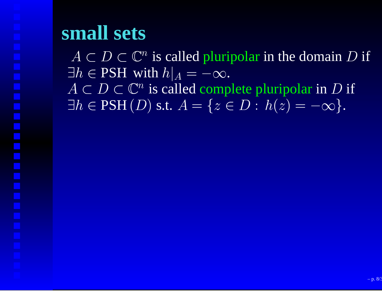#### **small sets**

 $A \subset D \subset \mathbb{C}^n$  is called pluripolar in the domain D if is called pluripolar in the domain D if<br>th  $h|_A = -\infty$ .<br>is called complete pluripolar in D if  $h \in PSH$  with  $h|_A = -\infty$ .  $\Gamma$   $\Gamma$ is called complete pluripolar in *D* if<br>
(*i*) s.t.  $A = \{z \in D : h(z) = -\infty\}$ .  $h \in PSH(D)$  s.t.  $A = \{ z \in D : h(z) = -\infty \}.$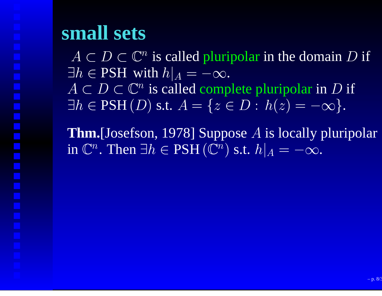#### **small sets**

 $A \subset D \subset \mathbb{C}^n$  is called pluripolar in the domain D if is called pluripolar in the domain D if<br>th  $h|_A = -\infty$ .<br>is called complete pluripolar in D if  $h \in PSH$  with  $h|_A = -\infty$ .  $\Gamma$   $\Gamma$ is called complete pluripolar in *D* if<br>
(b) s.t.  $A = \{z \in D : h(z) = -\infty\}$ .  $h \in PSH(D)$  s.t.  $A = \{ z \in D : h(z) = -\infty \}.$ 

**Thm.** [Josefson, 1978] Suppose  $\overline{A}$  is locally pluripolar in  $\mathbb{C}^n$ . Then  $\exists h \in {\rm PSH}\left(\mathbb{C}^n\right)$  s.t.  $h|_A = -\infty$ .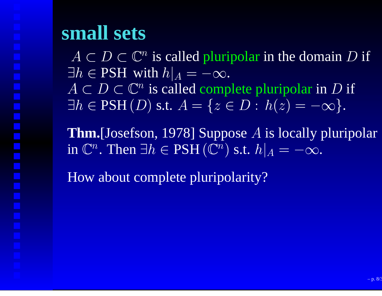#### **small sets**

 $A \subset D \subset \mathbb{C}^n$  is called pluripolar in the domain D if is called pluripolar in the domain D if<br>th  $h|_A = -\infty$ .<br>is called complete pluripolar in D if  $h \in PSH$  with  $h|_A = -\infty$ .  $\Gamma$   $\Gamma$ is called complete pluripolar in *D* if<br>
(b) s.t.  $A = \{z \in D : h(z) = -\infty\}$ .  $h \in PSH(D)$  s.t.  $A = \{ z \in D : h(z) = -\infty \}.$ 

**Thm.** [Josefson, 1978] Suppose  $\overline{A}$  is locally pluripolar in  $\mathbb{C}^n$ . Then  $\exists h \in {\rm PSH\,}(\mathbb{C}^n)$  s.t.  $h|_A = -\infty$ .<br>How about complete pluripolarity?

How about complete pluripolarity?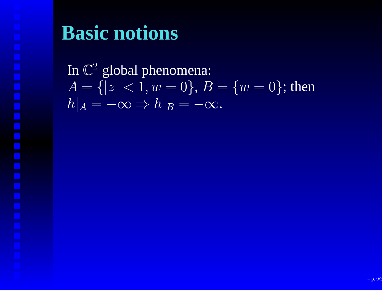#### **Basic notions**

In  $\mathbb{C}^2$ global phenomena:<br>{ $|z| < 1, w = 0$ }, *E*<br> $\cdot -\infty \Rightarrow h|_B = -c$  $\{ |z| < 1, w = 0 \}, B = \{ w = 0 \};$  then  $\lambda|_A=-\infty \Rightarrow h|_A$  $\lambda_B=-\infty.$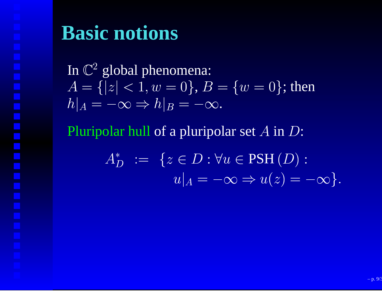#### **Basic notions**

In  $\mathbb{C}^2$ global phenomena:<br>{ $|z| < 1, w = 0$ }, *E*<br> $\cdot -\infty \Rightarrow h|_B = -c$  $\{ |z| < 1, w = 0 \}, B = \{ w = 0 \};$  then  $\lambda|_A=-\infty \Rightarrow h|_A$  $\lambda_B=-\infty.$ 

Pluripolar hull of a pluripolar set  $A$  in  $D$ :

$$
A_D^* := \{ z \in D : \forall u \in PSH(D) : u|_A = -\infty \Rightarrow u(z) = -\infty \}.
$$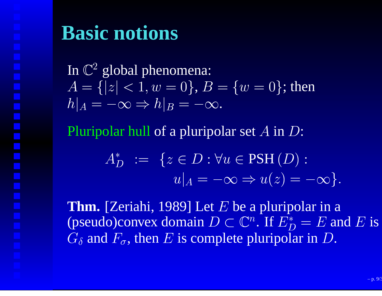#### **Basic notions**

In  $\mathbb{C}^2$ global phenomena:<br>{ $|z| < 1, w = 0$ }, *E*<br> $\cdot -\infty \Rightarrow h|_B = -c$  $\{ |z| < 1, w = 0 \}, B = \{ w = 0 \};$  then  $\lambda|_A=-\infty \Rightarrow h|_A$  $\lambda_B=-\infty.$ 

Pluripolar hull of a pluripolar set  $A$  in  $D$ :

$$
A_D^* := \{ z \in D : \forall u \in \text{PSH}(D) : u|_A = -\infty \Rightarrow u(z) = -\infty \}.
$$

(pseudo)convex domain  $D \subset \mathbb{C}^n$ . If  $E_D^* = E$  and E is  $G_{\delta}$  and  $F_{\sigma}$ , then E is complete pluripolar in D. and  $F_{\sigma}$ , then E is complete pluripolar in D. **Thm.** [Zeriahi, 1989] Let  $E$  be a pluripolar in a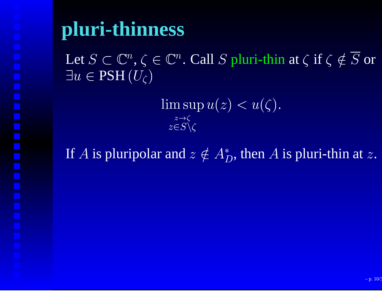### **pluri-thinness**

Let  $\subset \mathbb{C}^n$ ,  $\zeta \in \mathbb{C}^n$ . Call *S* pluri-thin at  $\zeta$  if<br>PSH  $(U_{\zeta})$  $, \zeta$ <br> $U_{\zeta}$  $\notin S$  or  $u \in PSH$ 

-**Contract Contract**  $\sim$   $\alpha$   $\sim$  $\lambda$  -  $\lambda$ - 

If A is pluripolar and  $z \notin A_D^*$ , then A is pluri-thin at .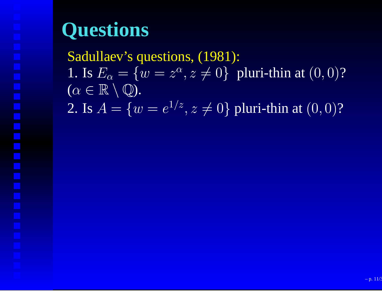Sadullaev's questions, (1981): 1. Is  $E_\alpha = \{w=z^\alpha, z\neq 0\} \;$  pluri-thin at (0 1. Is  $E_{\alpha} = \{w = z^{\alpha}, z \neq 0\}$  pluri-thin at (0<br>
( $\alpha \in \mathbb{R} \setminus \mathbb{Q}$ ).<br>
2. Is  $A = \{w = e^{1/z}, z \neq 0\}$  pluri-thin at (0  $\begin{bmatrix} 0 \\ 0 \end{bmatrix}$  ?  $(\alpha \in \mathbb{R} \setminus \mathbb{Q}).$  $\begin{bmatrix} 0 \\ 0 \end{bmatrix}$  ?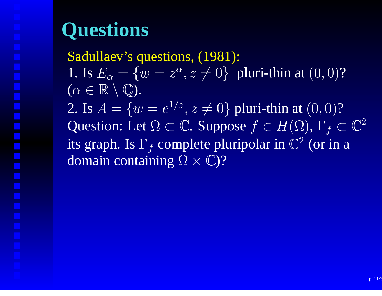Sadullaev's questions, (1981): 1. Is  $E_\alpha = \{w=z^\alpha, z\neq 0\} \;$  pluri-thin at (0 1. Is  $E_{\alpha} = \{w = z^{\alpha}, z \neq 0\}$  pluri-thin at (0<br>
( $\alpha \in \mathbb{R} \setminus \mathbb{Q}$ ).<br>
2. Is  $A = \{w = e^{1/z}, z \neq 0\}$  pluri-thin at (0  $\begin{bmatrix} 0 \\ 0 \end{bmatrix}$  ?  $(\alpha \in \mathbb{R} \setminus \mathbb{Q}).$  $\alpha,z\neq0$ <br>C. Supp<br>plete pl  $\frac{0}{\Gamma}$ <br> $\int$  ? Question: Let  $\Omega \subset \mathbb{C}$ . Suppose  $f \in H(\Omega)$ ,  $\Gamma_f \subset \mathbb{C}^2$ its graph. Is  $\Gamma_f$  complete pluripolar in  $\mathbb{C}^2$  (or in a domain containing  $\Omega \times \mathbb{C}$ )? domain containing  $\Omega\times\mathbb{C}\mathfrak{?}$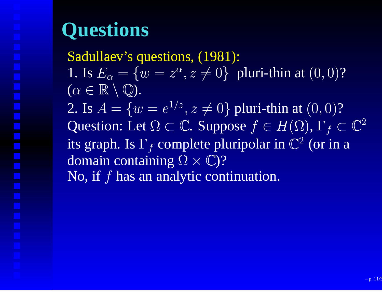Sadullaev's questions, (1981): 1. Is  $E_\alpha = \{w=z^\alpha, z\neq 0\} \;$  pluri-thin at (0 1. Is  $E_{\alpha} = \{w = z^{\alpha}, z \neq 0\}$  pluri-thin at (0<br>
( $\alpha \in \mathbb{R} \setminus \mathbb{Q}$ ).<br>
2. Is  $A = \{w = e^{1/z}, z \neq 0\}$  pluri-thin at (0  $\begin{bmatrix} 0 \\ 0 \end{bmatrix}$  ?  $(\alpha \in \mathbb{R} \setminus \mathbb{Q}).$  $\alpha,z\neq0$ <br>C. Supp<br>plete pl  $\frac{0}{\Gamma}$ <br> $\int$  ? Question: Let  $\Omega \subset \mathbb{C}$ . Suppose  $f \in H(\Omega)$ ,  $\Gamma_f \subset \mathbb{C}^2$ its graph. Is  $\Gamma_f$  complete pluripolar in  $\mathbb{C}^2$  (or in a domain containing  $\Omega \times \mathbb{C}$ )?<br>No, if *f* has an analytic continuation. domain containing  $\Omega\times\mathbb{C}\mathfrak{?}$ No, if f has an analytic continuation.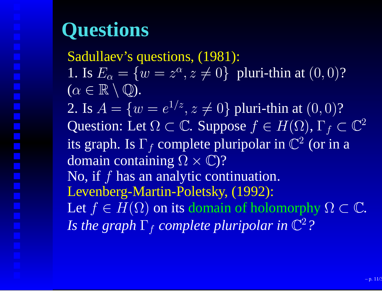Sadullaev' s questions, (1981): 1. Is  $E_{\alpha} =$ Question: Let  $\Omega\subset\mathbb{C}.$  Suppose  $f\in H(\Omega),$   $\Gamma$ ,他们的人们就是一个人,他们的人们就是一个人,他们的人们,他们的人们就是一个人,他们的人们,他们的人们就是一个人,他们的人们,他们的人们,他们的人们,他们的人们  $\alpha = \gamma^{\alpha}$   $\gamma \neq$  $\mathbf{r}$  and  $\mathbf{r}$  and  $\mathbf{r}$ 2. Is  $A = \{w = e^{1/z}, z \neq$  $\}$  pluri-thin at  $(0)$ domain containing  $\Omega\times\mathbb{C}\mathcal{?}$  $\begin{bmatrix} 0 \\ 0 \end{bmatrix}$  ?  $(\alpha \in \mathbb{R} \setminus \mathbb{Q}).$ No, if  $f$  has an analytic continuation. the company of the company of the  $|z| \nrightarrow z$ ,我们也不能在这里,我们也不能不能不能不能不能不能不能不能不能不能不能。""我们,我们也不能不能不能不能不能不能不能不能不能不能不能不能不能。""我们,我们也不 its graph. Is  $\Gamma_f$  complete pluripolar in  $\mathbb{C}^2$  (or in a<br>domain containing  $\Omega \times \mathbb{C}$ )?<br>No, if f has an analytic continuation.<br>Levenberg-Martin-Poletsky, (1992):  $\}$  pluri-thin at  $(0)$  $\frac{0}{\Gamma}$ <br> $\int$  ? Let  $f \in H(\Omega)$  on its domain of holomorphy  $\Omega \subset$  $\sim$   $\sim$ Le venberg-Martin-Poletsky, (1992):  $TT(\bigcap$ on its domain of holomorphy  $\Omega \subset$ . *Is the graph*  $c$ <sub>f</sub> complete pluripolar in  $\mathbb{C}^2$ ?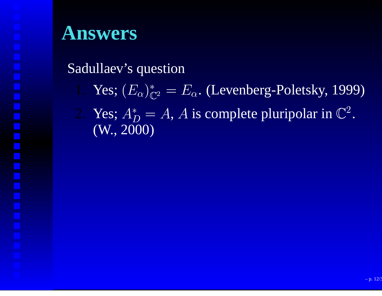#### **Answers**

Sadullaev's question

- 1. Yes;  $(E_{\alpha})$
- $C_{\mathbb{C}^2}^* = E_{\alpha}$ . (Levenberg-Poletsky, 1999)<br>= A, A is complete pluripolar in  $\mathbb{C}^2$ .<br>0) 2. Yes;  $A_D^* = A$ , A is complete pluripolar in  $\mathbb{C}^2$ .<br>(W., 2000) . (W., 2000)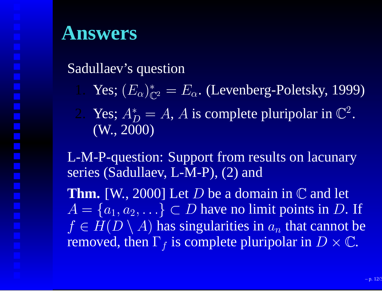#### **Answers**

Sadullaev's question

- 1. Yes;  $(E_{\alpha})$
- $C_{\mathbb{C}^2}^* = E_{\alpha}$ . (Levenberg-Poletsky, 1999)<br>= A, A is complete pluripolar in  $\mathbb{C}^2$ .<br>0) 2. Yes;  $A_D^* = A$ , A is complete pluripolar in  $\mathbb{C}^2$ .<br>(W., 2000) (W., 2000)

.<br>><br>> L-M-P-question: Support from results on lacunary series (Sadullaev, L-M-P), (2) and

**Thm.** [W., 2000] Let D be a domain in  $\mathbb{C}$  and let  $\{a_1, a_2, ...\} \subset D$  have no limit points in D. If<br> $H(D \setminus A)$  has singularities in a that cannot be  $H(D\setminus A)$  has singularities in  $a_n$  that cannot be removed, then  $\Gamma_f$  is complete pluripolar in  $D \times \mathbb{C}$ .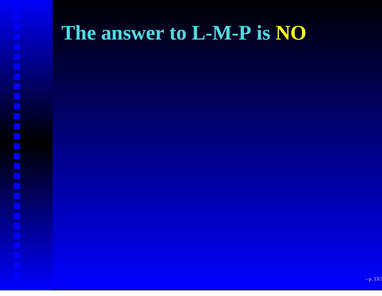#### **The answer to L-M-P is NO**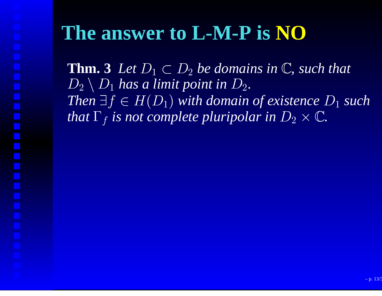### **The answer to L-M-P is NO**

**Thm.** 3 Let  $D_1 \subset D_2$  be domains in  $\mathbb{C}$ , such that  $\setminus D_1$  has a limit point in  $D_2$ .  $Then \ \exists f \in H(D_1)$  with domain of existence  $D_1$  such that  $\Gamma_f$  is not complete pluripolar in  $D_2 \times \mathbb{C}.$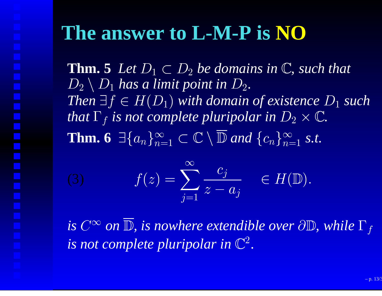### **The answer to L-M-P is NO**

**Thm. 5** Let  $D_1 \subset D_2$  be domains in  $\mathbb{C}$ , such that  $\setminus D_1$  has a limit point in  $D_2$ .  $Then \ \exists f \in H(D_1)$  with domain of existence  $D_1$  such that  $\Gamma_f$  is not complete pluripolar in  $D_2 \times \mathbb{C}.$ 

**Thm. 6** 
$$
\exists
$$
  $\{a_n\}_{n=1}^{\infty} \subset \mathbb{C} \setminus \mathbb{D}$  and  $\{c_n\}_{n=1}^{\infty}$  s.t.  
\n(3) 
$$
f(z) = \sum_{j=1}^{\infty} \frac{c_j}{z - a_j} \in H(\mathbb{D}).
$$

*is*  $C^{\infty}$  *on*  $\mathbb{D}$ *, is nowhere extendible over*  $\partial \mathbb{D}$ *, while*  $\Gamma$  *is not complete pluripolar in*  $\mathbb{C}^2$ *. is not complete <sup>p</sup>luripolar in .*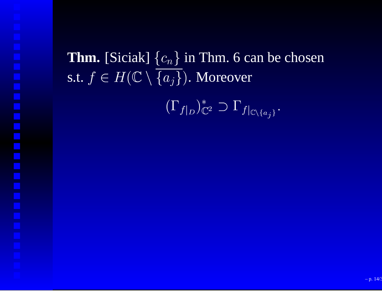# **Thm.** [Siciak]  $\{c_n\}$  in Thm. 6 can be chosen<br>s.t.  $f \in H(\mathbb{C} \setminus \{a_j\})$ . Moreover s.t.  $f \in H(\mathbb{C} \setminus \{a_i\})$ . Moreover

 $\Gamma_{f|_D})_{\mathbb{C}^2}^* \supset \Gamma_{f|_{\mathbb{C}\setminus\{a_j\}}}$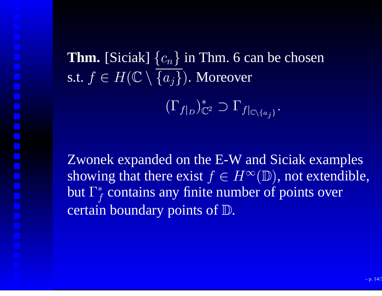# **Thm.** [Siciak]  $\{c_n\}$  in Thm. 6 can be chosen<br>s.t.  $f \in H(\mathbb{C} \setminus \{a_j\})$ . Moreover s.t.  $f \in H(\mathbb{C} \setminus \{a_i\})$ . Moreover

 $\Gamma_{f|_D})_{\mathbb{C}^2}^* \supset \Gamma_{f|_{\mathbb{C}\setminus\{a_j\}}}$ 

Zwonek expanded on the E-W and Siciak examples showing that there exist  $f \in H^\infty(\mathbb{D}),$  not extendible, but  $\Gamma_f^*$  contains any finite number of points over certain boundary points of  $\mathbb D.$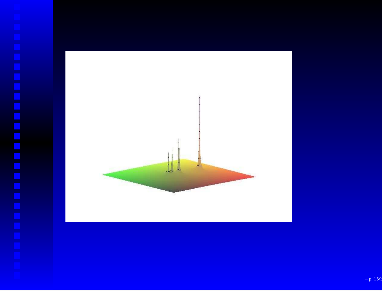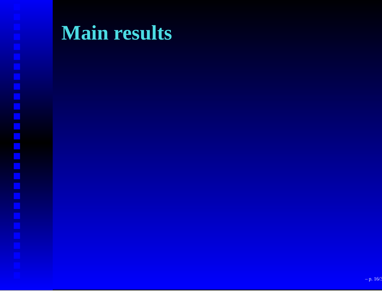# **Main results**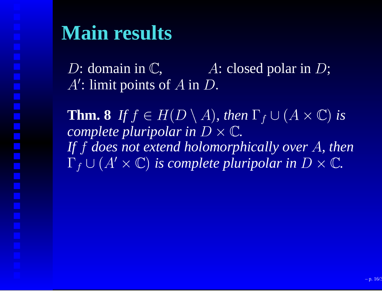#### **Main results**

D: domain in C, A: closed polar in  $D$ ;  $A'$ : limit points of A in D.

: limit points of A in D.<br> **nm. 8** If  $f \in H(D \setminus A)$ , **Thm. 8** If  $f \in H(D \setminus A)$ , then  $\Gamma_f \cup (A \times \mathbb{C})$  is *complete pluripolar in*  $D \times \mathbb{C}$ *.* If *f* does not extend holomorphically over A, then  $\Gamma_f \cup (A' \times \mathbb{C})$  is complete pluripolar in  $D \times \mathbb{C}$ .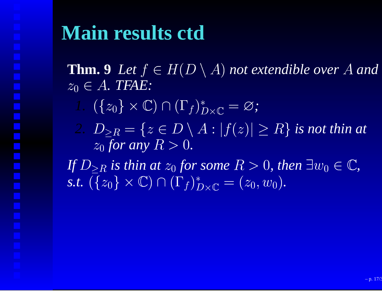#### **Main results ctd**

**Thm.** 9 Let  $f \in H(D \setminus A)$  not extendible over A and  $z_0 \in A$ . TFAE:

1.  $({z_0} \times \mathbb{C}) \cap (\Gamma_f)_{D \times \mathbb{C}}^* = \varnothing$ ;

2.  $D_{\geq R} = \{z \in D \setminus A : |f(z)| \geq R\}$  is not thin at  $z_0$  for any  $R > 0$ .

If  $D_{\geq R}$  is thin at  $z_0$  for some  $R > 0$ , then  $\exists w_0 \in \mathbb{C}$ , s.t.  $({z_0} \times \mathbb{C}) \cap (\Gamma_f)_{D \times \mathbb{C}}^* = (z_0, w_0).$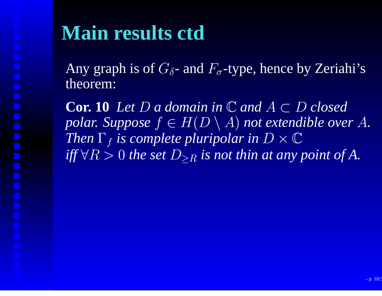### **Main results ctd**

Any graph is of  $G_{\delta}$ - and  $F_{\sigma}$ -type, hence by Zeriahi's theorem:

**Cor.** 10 Let  $D$  a domain in  $C$  and  $A \subset D$  closed  $polar.$  Suppose  $f \in H(D \setminus A)$  not extendible over A. Then  $\Gamma_f$  is complete pluripolar in  $D$   $\times$  $\int\int f dV$   $R > 0$  the set  $D_{\geq R}$  is not thin at any point of A.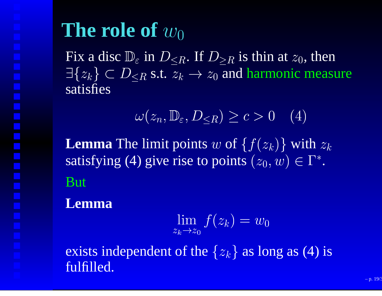#### **The role of**  $w_0$

Fix a disc  $\mathbb{D}_{\varepsilon}$  in  $D_{\leq R}$ . If  $D_{\geq R}$  is thin at  $z_0$ , then  $\{z_k\} \subset D_{\leq R}$  s.t.  $z_k \to z_0$  and harmonic measure satisfies

$$
\omega(z_n, \mathbb{D}_{\varepsilon}, D_{\leq R}) \geq c > 0 \quad (4)
$$

**Lemma** The limit points w of  $\{f(z_k)\}$  with  $z_k$ satisfying (4) give rise to points  $(z_0,w)\in \Gamma^*.$ But

**Lemma**

$$
\lim_{z_k\to z_0} f(z_k)=w_0
$$

exists independent of the  $\{z_k\}$  as long as ( as long as (4) is fulfilled.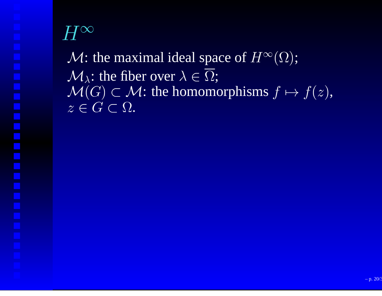: the maximal ideal space of  $H^\infty(\Omega)$ ;<br>, : the fiber over  $\lambda \in \Omega$ ;  $f(G) \subset \mathcal{M}$ : the homomorphisms  $f \mapsto f(G)$ - ,  $\sim$   $\sim$   $\sim$   $\sim$ .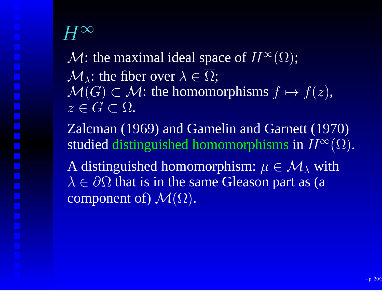: the maximal ideal space of  $H^\infty(\Omega)$ ;<br>, : the fiber over  $\lambda \in \Omega$ ;  $f(G) \subset \mathcal{M}$ : the homomorphisms  $f \mapsto f(z)$ ,  $\sim$   $\sim$   $\sim$   $\sim$ .

Zalcman (1969) and Gamelin and Garnett (1970) studied distinguished homomorphisms in  $H^\infty(\Omega)$ .

A distinguished homomorphism:  $\mu \in \mathcal{M}_\lambda$  with  $t \in \partial \Omega$  that is in the same Gleason part as (a component of)  $\mathcal{M}(\Omega)$ .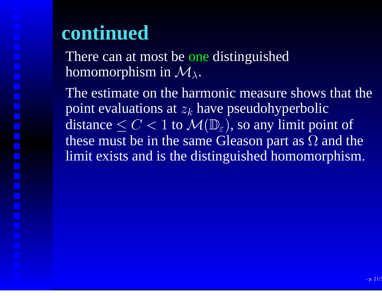#### **continued**

There can at most be one distinguished homomorphism in  $\mathcal{M}_\lambda$ .

The estimate on the harmonic measure shows that the point evaluations at  $z_k$  have pseudohyperbolic distance  $\leq C < 1$  to  $\mathcal{M}(\mathbb{D}_{\varepsilon})$ ), so any limit point of<br>Fleason part as  $\Omega$  and th<br>guished homomorphisr these must be in the same Gleason part as  $\Omega$  and the limit exists and is the distinguished homomorphism.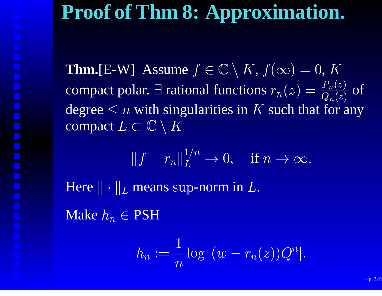#### **Proof of Thm 8: Approximation.**

**Thm.**[E-W] Assume  $f \in \mathbb{C} \setminus K$ ,  $f(\infty) = 0$ , compact polar.  $\exists$  rational functions  $r_n(z) = \frac{r_n}{\Omega}$  $\frac{n(z)}{n(z)}$ Or :  $\frac{n(z)}{n(z)}$  of<br>or any degree  $\leq n$  with singularities in K such that for any compact  $L \subset \mathbb{C} \setminus K$ 

$$
||f-r_n||_L^{1/n} \to 0, \quad \text{if } n \to \infty.
$$

 $\frac{1}{L}$ sup  $L$ <br>1p-: Here  $\frac{1}{\sqrt{2}}$ means sup-norm in  $L.$ 

Make  $h_n \in \mathrm{PSH}$ 

$$
h_n := \frac{1}{n} \log |(w - r_n(z))Q^n|.
$$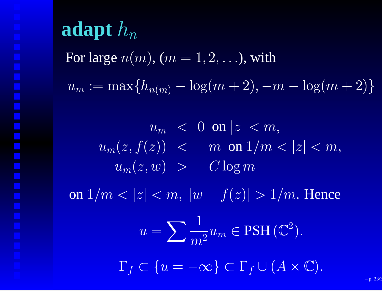# adapt  $h_n$

For large  $n(m)$ ,  $(m = 1, 2, \ldots)$ , with  $\overline{u_m := \max\{h_{n(m)} - \log(m+2), -m - \log(m+2)\}}$ 

 $|u_m| < 0$  on  $|z| < m$ ,  $u_m(z, f(z)) < -m$  on  $1/m < |z| < m$ ,  $u_m(z, w) > -C \log m$ 

on  $1/m < |z| < m$ ,  $|w - f(z)| > 1/m$ . Hence

$$
u = \sum \frac{1}{m^2} u_m \in \text{PSH}(\mathbb{C}^2).
$$

 $\Gamma_f \subset \{u = -\infty\} \subset \Gamma_f \cup (A \times \mathbb{C}).$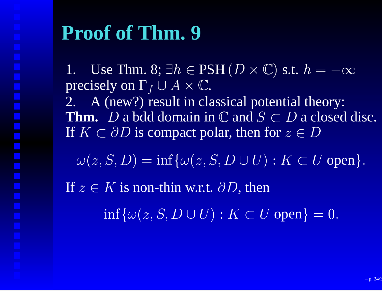# **Proof of Thm. 9**

1. Use Thm. 8;  $\exists h \in {\rm PSH}\,(D \times {\mathbb C})$  s.t.  $h = -1$ precisely on  $\Gamma_f \cup A \times \mathbb{C}$ . 2. A (new?) result in classical potential theory: **Thm.** D a bdd domain in  $\mathbb C$  and  $S \subset D$  a closed disc. If  $K\subset \partial D$  is compact polar, then for  $z\in$ 

 $(z, S, D) = \inf \{ \omega(z, S, D \cup U) : K \subset U \text{ open} \}$  $(S, D) = \inf \{ \omega(z, S, D \cup U)$ <br>K is non-thin w.r.t.  $\partial D$ , then

If  $z \in K$  is non-thin w.r.t.  $\partial D$ , then

 $\inf \{\omega(z, S, D \cup U) : K \subset U \text{ open}\} = 0$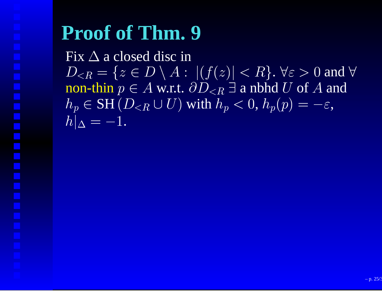# **Proof of Thm. 9**

Fix  $\triangle$  a closed disc in  $D_{\leq R} = \{z \in D \setminus A : |(f(z))| < R\}$ .  $\forall \varepsilon > 0$  and  $\forall$ non-thin  $p \in A$  w.r.t.  $\partial D_{\leq R} \exists$  a nbhd U of A and  $h_p \in SH(D_{\leq R} \cup U)$  with  $h_p < 0$ ,  $h_p(p) = -\varepsilon$ ,  $h|_{\Delta}=-1.$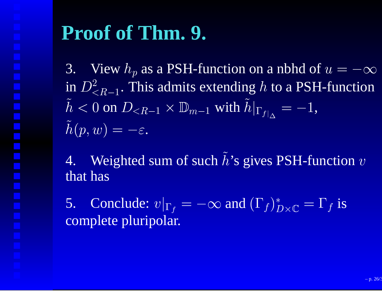# **Proof of Thm. 9.**

3. View  $h_n$  as a PSH-function on a nbhd of  $u =$ in  $D_{< R-1}^2.$  This admits extending  $h$  to a PSH-function  $\begin{array}{c} R \ \begin{array}{c} \textsf{C} \end{array} \end{array}$  $0<$  on  $D_{< R-1}\times \mathbb{D}$  $-1$  with h - $\alpha$  and  $\alpha$  and  $\alpha$  -,  $\phi(p,w) = -\varepsilon.$ 

nonted sum of such b s olve 4. Weighted sum of such  $h$ 's gives PSH-function  $v$ that has

5. Conclude:  $v|_{\Gamma_f} = -\infty$  and  $(\Gamma_f)_{D \times C}^* = \Gamma_f$  is complete pluripolar. complete pluripolar.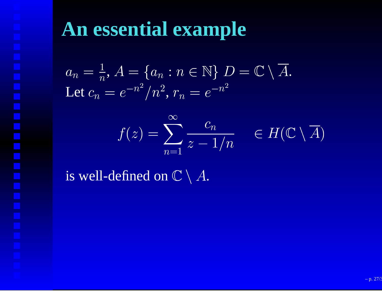$$
a_n = \frac{1}{n}, A = \{a_n : n \in \mathbb{N}\}
$$
  $D = \mathbb{C} \setminus \overline{A}$ .  
Let  $c_n = e^{-n^2}/n^2$ ,  $r_n = e^{-n^2}$ 



is well-defined on  $\mathbb{C} \setminus A$ .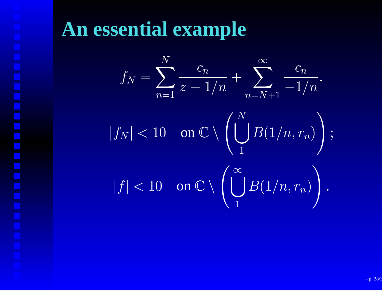$$
f_N = \sum_{n=1}^N \frac{c_n}{z - 1/n} + \sum_{n=N+1}^\infty \frac{c_n}{-1/n}.
$$
  

$$
|f_N| < 10 \quad \text{on } \mathbb{C} \setminus \left(\bigcup_{1}^N B(1/n, r_n)\right);
$$
  

$$
|f| < 10 \quad \text{on } \mathbb{C} \setminus \left(\bigcup_{1}^\infty B(1/n, r_n)\right).
$$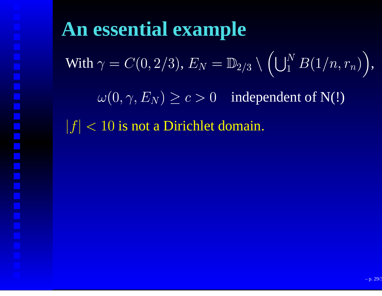With  $\gamma = C(0, 2/3), E_N = \mathbb{D}_{2/3} \setminus (U_1^N B(1/n, r_n)),$ 

 $\omega(0,\gamma,E_N) \geq c > 0$  independent of N(!)

 $|f| < 10$  is not a Dirichlet domain.